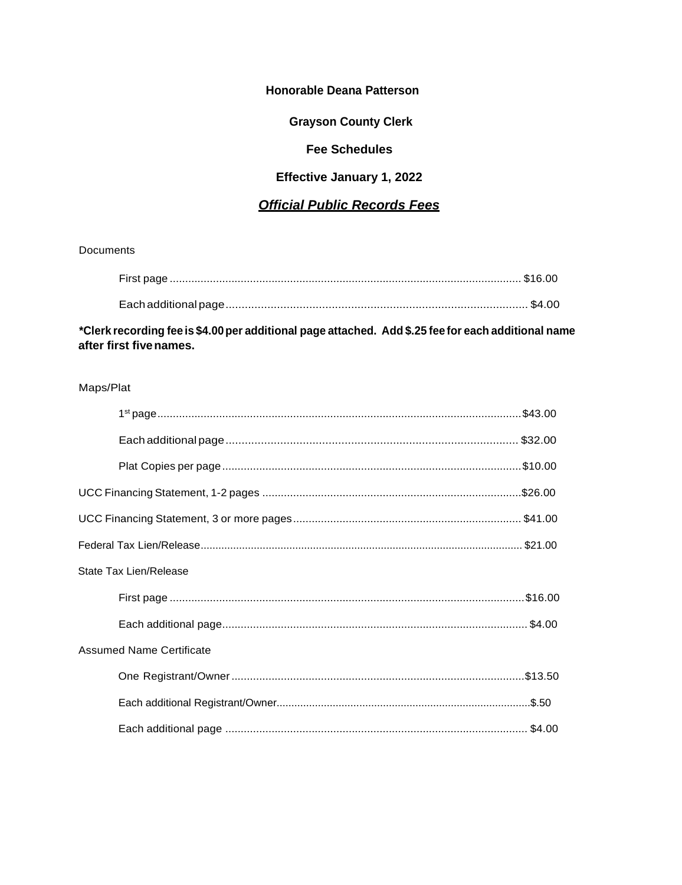## **Honorable Deana Patterson**

**Grayson County Clerk** 

# **Fee Schedules**

# **Effective January 1, 2022**

# **Official Public Records Fees**

Documents

\*Clerk recording fee is \$4.00 per additional page attached. Add \$.25 fee for each additional name after first five names.

## Maps/Plat

| State Tax Lien/Release          |  |
|---------------------------------|--|
|                                 |  |
|                                 |  |
| <b>Assumed Name Certificate</b> |  |
|                                 |  |
|                                 |  |
|                                 |  |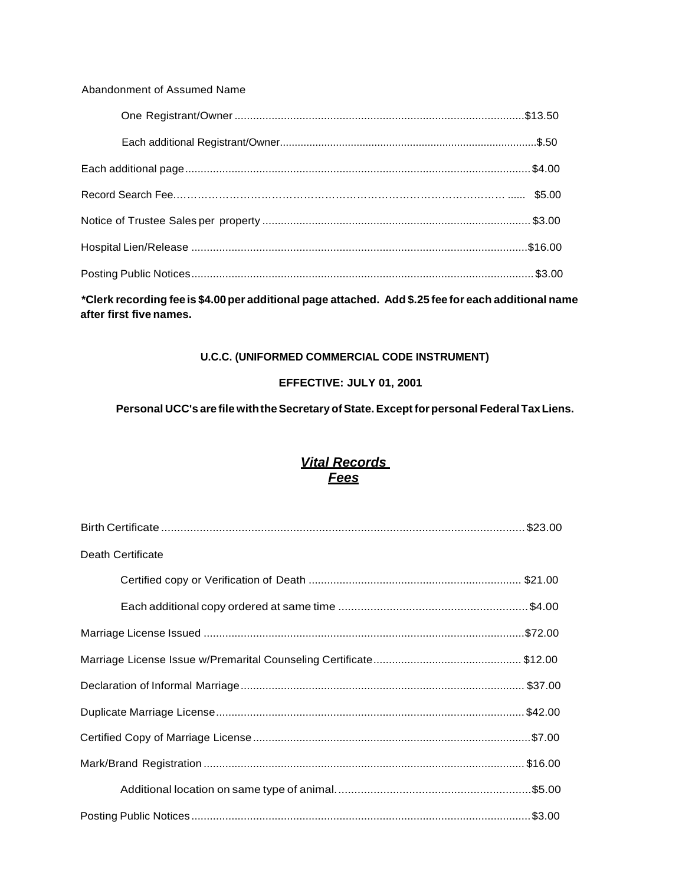#### Abandonment of Assumed Name

| \$5.00 |
|--------|
|        |
|        |
|        |
|        |

**\*Clerk recording fee is \$4.00per additional page attached. Add \$.25 fee for each additional name after first five names.**

## **U.C.C. (UNIFORMED COMMERCIAL CODE INSTRUMENT)**

## **EFFECTIVE: JULY 01, 2001**

# **Personal UCC's are file withtheSecretary ofState. Except forpersonal FederalTaxLiens.**

# *Vital Records Fees*

| Death Certificate |
|-------------------|
|                   |
|                   |
|                   |
|                   |
|                   |
|                   |
|                   |
|                   |
|                   |
|                   |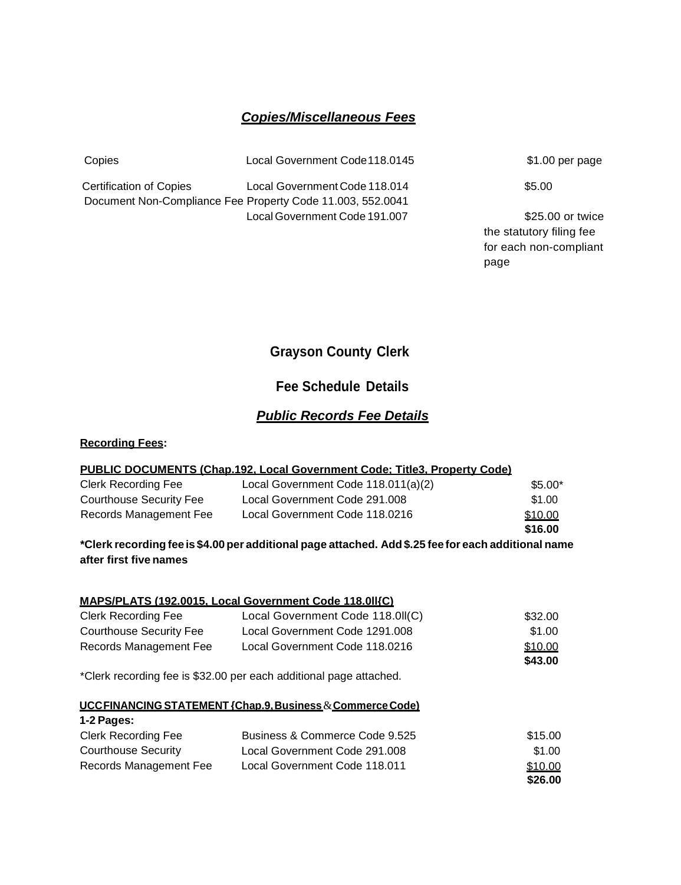## *Copies/Miscellaneous Fees*

Copies Local Government Code118.0145

Certification of Copies Local Government Code 118.014 Document Non-Compliance Fee Property Code 11.003, 552.0041 Local Government Code 191.007

\$1.00 per page

\$5.00

\$25.00 or twice the statutory filing fee for each non-compliant page

# **Grayson County Clerk**

# **Fee Schedule Details**

## *Public Records Fee Details*

## **Recording Fees:**

| PUBLIC DOCUMENTS (Chap.192. Local Government Code: Title3. Property Code) |                                                                                                                     |          |  |
|---------------------------------------------------------------------------|---------------------------------------------------------------------------------------------------------------------|----------|--|
| <b>Clerk Recording Fee</b>                                                | Local Government Code 118.011(a)(2)                                                                                 | $$5.00*$ |  |
| <b>Courthouse Security Fee</b>                                            | Local Government Code 291.008                                                                                       | \$1.00   |  |
| Records Management Fee                                                    | Local Government Code 118.0216                                                                                      | \$10.00  |  |
|                                                                           |                                                                                                                     | \$16.00  |  |
|                                                                           | . This decreased in the fact of AA measured it is a consecutive to a light. AF fact consecutive in this consequence |          |  |

#### **\*Clerk recording fee is \$4.00 per additional page attached. Add\$.25 fee for each additional name after first five names**

#### **MAPS/PLATS (192.0015, Local Government Code 118.0ll{C)**

| <b>Clerk Recording Fee</b> | Local Government Code 118.0II(C) | \$32.00 |
|----------------------------|----------------------------------|---------|
| Courthouse Security Fee    | Local Government Code 1291,008   | \$1.00  |
| Records Management Fee     | Local Government Code 118.0216   | \$10.00 |
|                            |                                  | \$43.00 |

\*Clerk recording fee is \$32.00 per each additional page attached.

#### **UCCFINANCING STATEMENT {Chap.9,Business**&**CommerceCode)**

| 1-2 Pages:                 |                                |         |
|----------------------------|--------------------------------|---------|
| <b>Clerk Recording Fee</b> | Business & Commerce Code 9.525 | \$15.00 |
| Courthouse Security        | Local Government Code 291.008  | \$1.00  |
| Records Management Fee     | Local Government Code 118.011  | \$10.00 |
|                            |                                | \$26.00 |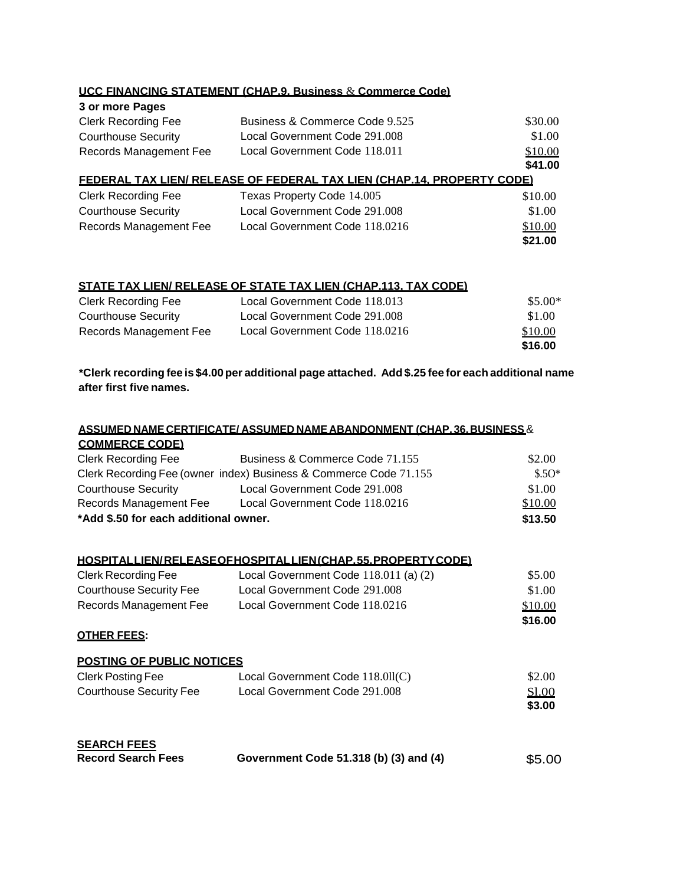|                            | UCC FINANCING STATEMENT (CHAP.9. Business & Commerce Code)             |         |
|----------------------------|------------------------------------------------------------------------|---------|
| 3 or more Pages            |                                                                        |         |
| <b>Clerk Recording Fee</b> | Business & Commerce Code 9.525                                         | \$30.00 |
| <b>Courthouse Security</b> | Local Government Code 291.008                                          | \$1.00  |
| Records Management Fee     | Local Government Code 118.011                                          | \$10.00 |
|                            |                                                                        | \$41.00 |
|                            | FEDERAL TAX LIEN/ RELEASE OF FEDERAL TAX LIEN (CHAP.14. PROPERTY CODE) |         |
| <b>Clerk Recording Fee</b> | Texas Property Code 14.005                                             | \$10.00 |
| <b>Courthouse Security</b> | Local Government Code 291.008                                          | \$1.00  |
| Records Management Fee     | Local Government Code 118.0216                                         | \$10.00 |
|                            |                                                                        | \$21.00 |

#### **STATE TAX LIEN/ RELEASE OF STATE TAX LIEN (CHAP.113, TAX CODE)**

| <b>Clerk Recording Fee</b> | Local Government Code 118.013  | \$5.00* |
|----------------------------|--------------------------------|---------|
| Courthouse Security        | Local Government Code 291.008  | \$1.00  |
| Records Management Fee     | Local Government Code 118.0216 | \$10.00 |
|                            |                                | \$16.00 |

**\*Clerk recording fee is \$4.00per additional page attached. Add \$.25 fee for each additional name after first five names.**

|                                       | <u>ASSUMED NAME CERTIFICATE/ ASSUMED NAME ABANDONMENT (CHAP. 36. BUSINESS &amp; </u> |         |
|---------------------------------------|--------------------------------------------------------------------------------------|---------|
| <b>COMMERCE CODE)</b>                 |                                                                                      |         |
| <b>Clerk Recording Fee</b>            | Business & Commerce Code 71.155                                                      | \$2.00  |
|                                       | Clerk Recording Fee (owner index) Business & Commerce Code 71.155                    | $$.50*$ |
| <b>Courthouse Security</b>            | Local Government Code 291.008                                                        | \$1.00  |
|                                       | Records Management Fee Local Government Code 118.0216                                | \$10.00 |
| *Add \$.50 for each additional owner. |                                                                                      | \$13.50 |
|                                       |                                                                                      |         |
|                                       |                                                                                      |         |
|                                       | HOSPITALLIEN/RELEASEOFHOSPITALLIEN(CHAP.55.PROPERTY CODE)                            |         |
| <b>Clerk Recording Fee</b>            | Local Government Code 118.011 (a) (2)                                                | \$5.00  |
| <b>Courthouse Security Fee</b>        | Local Government Code 291.008                                                        | \$1.00  |
| Records Management Fee                | Local Government Code 118.0216                                                       | \$10.00 |
|                                       |                                                                                      | \$16.00 |
| <b>OTHER FEES:</b>                    |                                                                                      |         |
| <b>POSTING OF PUBLIC NOTICES</b>      |                                                                                      |         |
| <b>Clerk Posting Fee</b>              | Local Government Code 118.011(C)                                                     | \$2.00  |
| <b>Courthouse Security Fee</b>        | Local Government Code 291,008                                                        | S1.00   |
|                                       |                                                                                      | \$3.00  |
|                                       |                                                                                      |         |
| <b>SEARCH FEES</b>                    |                                                                                      |         |
| <b>Record Search Fees</b>             | Government Code 51.318 (b) (3) and (4)                                               | \$5.00  |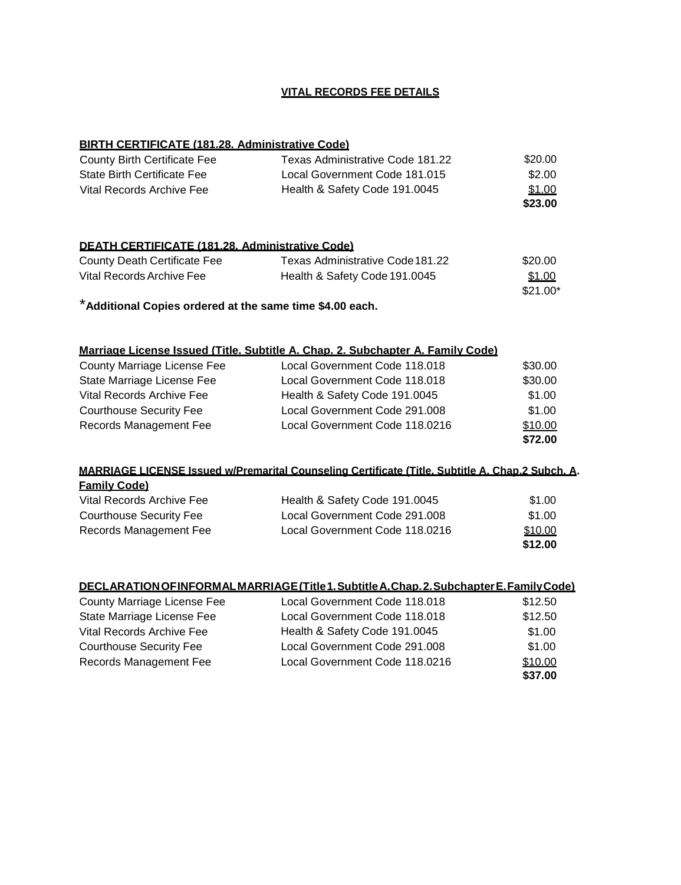#### **VITAL RECORDS FEE DETAILS**

#### **BIRTH CERTIFICATE (181.28. Administrative Code)**

| County Birth Certificate Fee | Texas Administrative Code 181.22 | \$20.00 |
|------------------------------|----------------------------------|---------|
| State Birth Certificate Fee  | Local Government Code 181.015    | \$2.00  |
| Vital Records Archive Fee    | Health & Safety Code 191.0045    | \$1.00  |
|                              |                                  | \$23.00 |

#### **DEATH CERTIFICATE (181.28. Administrative Code)**

| County Death Certificate Fee | Texas Administrative Code181.22 | \$20.00   |
|------------------------------|---------------------------------|-----------|
| Vital Records Archive Fee    | Health & Safety Code 191.0045   | \$1.00    |
|                              |                                 | $$21.00*$ |

\***Additional Copies ordered at the same time \$4.00 each.**

#### **Marriage License Issued (Title. Subtitle A. Chap. 2. Subchapter A. Family Code)**

| County Marriage License Fee    | Local Government Code 118.018  | \$30.00 |
|--------------------------------|--------------------------------|---------|
| State Marriage License Fee     | Local Government Code 118.018  | \$30.00 |
| Vital Records Archive Fee      | Health & Safety Code 191.0045  | \$1.00  |
| <b>Courthouse Security Fee</b> | Local Government Code 291.008  | \$1.00  |
| Records Management Fee         | Local Government Code 118.0216 | \$10.00 |
|                                |                                | \$72.00 |

## **MARRIAGE LICENSE Issued w/Premarital Counseling Certificate (Title. Subtitle A. Chap.2 Subch. A. Family Code)** Vital Records Archive Fee Health & Safety Code 191.0045 \$1.00 Courthouse Security Fee Local Government Code 291.008 \$1.00 Records Management Fee Local Government Code 118.0216 \$10.00

**\$12.00**

|                                    | DECLARATION OF INFORMAL MARRIAGE (Title 1. Subtitle A. Chap. 2. Subchapter E. Family Code) |         |
|------------------------------------|--------------------------------------------------------------------------------------------|---------|
| <b>County Marriage License Fee</b> | Local Government Code 118.018                                                              | \$12.50 |
| State Marriage License Fee         | Local Government Code 118.018                                                              | \$12.50 |
| Vital Records Archive Fee          | Health & Safety Code 191.0045                                                              | \$1.00  |
| <b>Courthouse Security Fee</b>     | Local Government Code 291.008                                                              | \$1.00  |
| Records Management Fee             | Local Government Code 118.0216                                                             | \$10.00 |
|                                    |                                                                                            | \$37.00 |